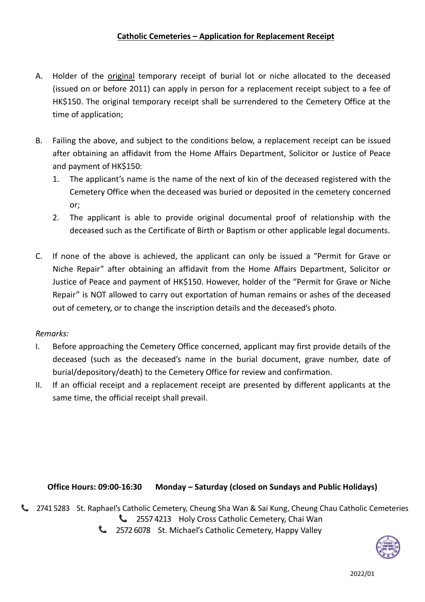## **Catholic Cemeteries – Application for Replacement Receipt**

- A. Holder of the original temporary receipt of burial lot or niche allocated to the deceased (issued on or before 2011) can apply in person for a replacement receipt subject to a fee of HK\$150. The original temporary receipt shall be surrendered to the Cemetery Office at the time of application;
- B. Failing the above, and subject to the conditions below, a replacement receipt can be issued after obtaining an affidavit from the Home Affairs Department, Solicitor or Justice of Peace and payment of HK\$150:
	- 1. The applicant's name is the name of the next of kin of the deceased registered with the Cemetery Office when the deceased was buried or deposited in the cemetery concerned or;
	- 2. The applicant is able to provide original documental proof of relationship with the deceased such as the Certificate of Birth or Baptism or other applicable legal documents.
- C. If none of the above is achieved, the applicant can only be issued a "Permit for Grave or Niche Repair" after obtaining an affidavit from the Home Affairs Department, Solicitor or Justice of Peace and payment of HK\$150. However, holder of the "Permit for Grave or Niche Repair" is NOT allowed to carry out exportation of human remains or ashes of the deceased out of cemetery, or to change the inscription details and the deceased's photo.

## *Remarks:*

- I. Before approaching the Cemetery Office concerned, applicant may first provide details of the deceased (such as the deceased's name in the burial document, grave number, date of burial/depository/death) to the Cemetery Office for review and confirmation.
- II. If an official receipt and a replacement receipt are presented by different applicants at the same time, the official receipt shall prevail.

## **Office Hours: 09:00-16:30 Monday – Saturday (closed on Sundays and Public Holidays)**

2741 5283 St. Raphael's Catholic Cemetery, Cheung Sha Wan & Sai Kung, Cheung Chau Catholic Cemeteries **L** 2557 4213 Holy Cross Catholic Cemetery, Chai Wan

<sup>2</sup> 2572 6078 St. Michael's Catholic Cemetery, Happy Valley